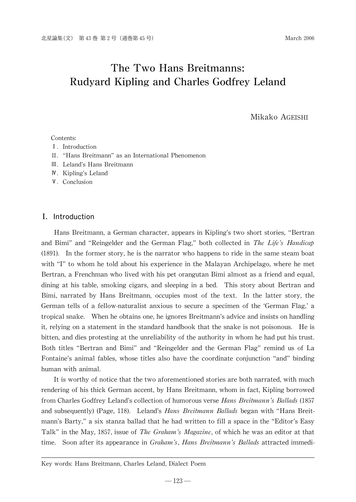# The Two Hans Breitmanns: Rudyard Kipling and Charles Godfrey Leland

Mikako AGEISHI

#### Contents:

- I. Introduction
- II. "Hans Breitmann" as an International Phenomenon
- 쒁. Leland's Hans Breitmann
- **N**. Kipling's Leland
- V. Conclusion

# I. Introduction

Hans Breitmann, a German character, appears in Kipling's two short stories,"Bertran and Bimi" and "Reingelder and the German Flag," both collected in The Life's Handicap  $(1891)$ . In the former story, he is the narrator who happens to ride in the same steam boat with "I" to whom he told about his experience in the Malayan Archipelago, where he met Bertran, a Frenchman who lived with his pet orangutan Bimi almost as a friend and equal, dining at his table, smoking cigars, and sleeping in a bed. This story about Bertran and Bimi, narrated by Hans Breitmann, occupies most of the text. In the latter story, the German tells of a fellow-naturalist anxious to secure a specimen of the ʻGerman Flag,'a tropical snake. When he obtains one, he ignores Breitmann's advice and insists on handling it, relying on a statement in the standard handbook that the snake is not poisonous. He is bitten, and dies protesting at the unreliability of the authority in whom he had put his trust. Both titles "Bertran and Bimi" and "Reingelder and the German Flag" remind us of La Fontaine's animal fables, whose titles also have the coordinate conjunction "and"binding human with animal.

It is worthy of notice that the two aforementioned stories are both narrated, with much rendering of his thick German accent, by Hans Breitmann, whom in fact, Kipling borrowed from Charles Godfrey Leland's collection of humorous verse Hans Breitmann's Ballads (1857 and subsequently) (Page, 118). Leland's *Hans Breitmann Ballads* began with "Hans Breitmann's Barty,"a six stanza ballad that he had written to fill a space in the"Editor's Easy Talk" in the May, 1857, issue of *The Graham's Magazine*, of which he was an editor at that time. Soon after its appearance in *Graham's, Hans Breitmann's Ballads* attracted immedi-

#### Key words: Hans Breitmann, Charles Leland, Dialect Poem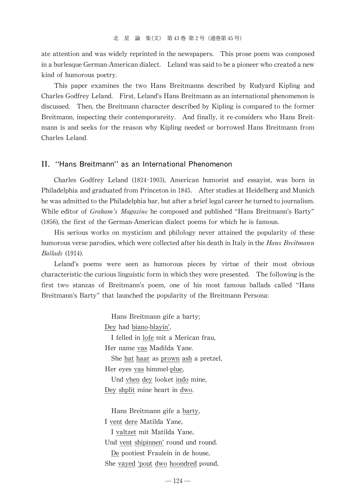ate attention and was widely reprinted in the newspapers. This prose poem was composed in a burlesque German-American dialect. Leland was said to be a pioneer who created a new kind of humorous poetry.

This paper examines the two Hans Breitmanns described by Rudyard Kipling and Charles Godfrey Leland. First,Leland's Hans Breitmann as an international phenomenon is discussed. Then, the Breitmann character described by Kipling is compared to the former Breitmann, inspecting their contemporareity. And finally, it re-considers who Hans Breitmann is and seeks for the reason why Kipling needed or borrowed Hans Breitmann from Charles Leland.

### II. "Hans Breitmann" as an International Phenomenon

Charles Godfrey Leland (1824-1903), American humorist and essayist, was born in Philadelphia and graduated from Princeton in 1845. After studies at Heidelberg and Munich he was admitted to the Philadelphia bar, but after a brief legal career he turned to journalism. While editor of *Graham's Magazine* he composed and published "Hans Breitmann's Barty" (1856), the first of the German-American dialect poems for which he is famous.

His serious works on mysticism and philology never attained the popularity of these humorous verse parodies, which were collected after his death in Italy in the *Hans Breitmann* Ballads (1914).

Leland's poems were seen as humorous pieces by virtue of their most obvious characteristic-the curious linguistic form in which they were presented. The following is the first two stanzas of Breitmann's poem, one of his most famous ballads called "Hans Breitmann's Barty" that launched the popularity of the Breitmann Persona:

> Hans Breitmann gife a barty; Dey had biano-blayin', I felled in lofe mit a Merican frau, Her name vas Madilda Yane. She hat haar as prown ash a pretzel, Her eyes vas himmel-plue, Und vhen dey looket indo mine, Dey shplit mine heart in dwo. Hans Breitmann gife a barty, I vent dere Matilda Yane, I valtzet mit Matilda Yane,

Und vent shipinnen' round und round.

De pootiest Fraulein in de house, She vayed ʻpout dwo hoondred pound,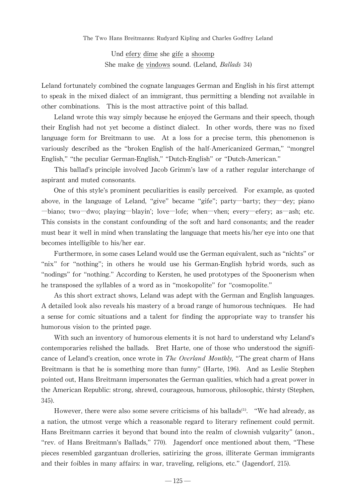Und efery dime she gife a shoomp She make de vindows sound. (Leland, Ballads 34)

Leland fortunately combined the cognate languages German and English in his first attempt to speak in the mixed dialect of an immigrant, thus permitting a blending not available in other combinations. This is the most attractive point of this ballad.

Leland wrote this way simply because he enjoyed the Germans and their speech, though their English had not yet become a distinct dialect. In other words, there was no fixed language form for Breitmann to use. At a loss for a precise term, this phenomenon is variously described as the "broken English of the half-Americanized German,""mongrel English," "the peculiar German-English," "Dutch-English" or "Dutch-American."

This ballad's principle involved Jacob Grimm's law of a rather regular interchange of aspirant and muted consonants.

One of this style's prominent peculiarities is easily perceived. For example, as quoted above, in the language of Leland, "give"became "gife"; party―barty; they―dey; piano ―biano; two―dwo; playing―blayin'; love―lofe; when―vhen; every―efery; as―ash; etc. This consists in the constant confounding of the soft and hard consonants; and the reader must bear it well in mind when translating the language that meets his/her eye into one that becomes intelligible to his/her ear.

Furthermore, in some cases Leland would use the German equivalent, such as "nichts" or "nix" for "nothing"; in others he would use his German-English hybrid words, such as "nodings" for "nothing." According to Kersten, he used prototypes of the Spoonerism when he transposed the syllables of a word as in "moskopolite" for "cosmopolite."

As this short extract shows, Leland was adept with the German and English languages. A detailed look also reveals his mastery of a broad range of humorous techniques. He had a sense for comic situations and a talent for finding the appropriate way to transfer his humorous vision to the printed page.

With such an inventory of humorous elements it is not hard to understand why Leland's contemporaries relished the ballads. Bret Harte, one of those who understood the significance of Leland's creation, once wrote in *The Overland Monthly*, "The great charm of Hans Breitmann is that he is something more than funny"(Harte, 196). And as Leslie Stephen pointed out, Hans Breitmann impersonates the German qualities, which had a great power in the American Republic: strong, shrewd, courageous, humorous, philosophic, thirsty (Stephen, 345).

However, there were also some severe criticisms of his ballads<sup>(1)</sup>. "We had already, as a nation, the utmost verge which a reasonable regard to literary refinement could permit. Hans Breitmann carries it beyond that bound into the realm of clownish vulgarity"(anon., "rev. of Hans Breitmann's Ballads,"770). Jagendorf once mentioned about them, "These pieces resembled gargantuan drolleries, satirizing the gross, illiterate German immigrants and their foibles in many affairs: in war, traveling, religions, etc." (Jagendorf, 215).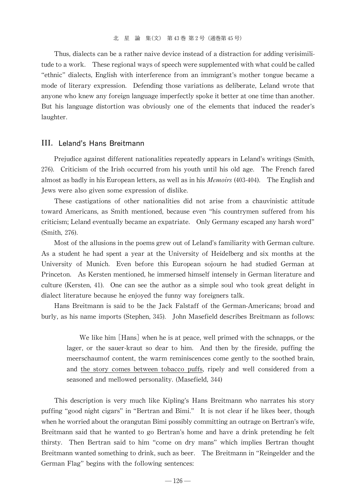Thus, dialects can be a rather naive device instead of a distraction for adding verisimilitude to a work. These regional ways of speech were supplemented with what could be called "ethnic" dialects, English with interference from an immigrant's mother tongue became a mode of literary expression. Defending those variations as deliberate, Leland wrote that anyone who knew any foreign language imperfectly spoke it better at one time than another. But his language distortion was obviously one of the elements that induced the reader's laughter.

# III. Leland's Hans Breitmann

Prejudice against different nationalities repeatedly appears in Leland's writings (Smith, 276). Criticism of the Irish occurred from his youth until his old age. The French fared almost as badly in his European letters, as well as in his *Memoirs*  $(403-404)$ . The English and Jews were also given some expression of dislike.

These castigations of other nationalities did not arise from a chauvinistic attitude toward Americans, as Smith mentioned, because even "his countrymen suffered from his criticism;Leland eventually became an expatriate. Only Germany escaped any harsh word" (Smith, 276).

Most of the allusions in the poems grew out of Leland's familiarity with German culture. As a student he had spent a year at the University of Heidelberg and six months at the University of Munich. Even before this European sojourn he had studied German at Princeton. As Kersten mentioned, he immersed himself intensely in German literature and culture (Kersten, 41). One can see the author as a simple soul who took great delight in dialect literature because he enjoyed the funny way foreigners talk.

Hans Breitmann is said to be the Jack Falstaff of the German-Americans;broad and burly, as his name imports (Stephen,345). John Masefield describes Breitmann as follows:

We like him [Hans] when he is at peace, well primed with the schnapps, or the lager, or the sauer-kraut so dear to him. And then by the fireside, puffing the meerschaumof content, the warm reminiscences come gently to the soothed brain, and the story comes between tobacco puffs, ripely and well considered from a seasoned and mellowed personality. (Masefield, 344)

This description is very much like Kipling's Hans Breitmann who narrates his story puffing "good night cigars"in "Bertran and Bimi." It is not clear if he likes beer, though when he worried about the orangutan Bimi possibly committing an outrage on Bertran's wife, Breitmann said that he wanted to go Bertran's home and have a drink pretending he felt thirsty. Then Bertran said to him "come on dry mans"which implies Bertran thought Breitmann wanted something to drink, such as beer. The Breitmann in "Reingelder and the German Flag" begins with the following sentences: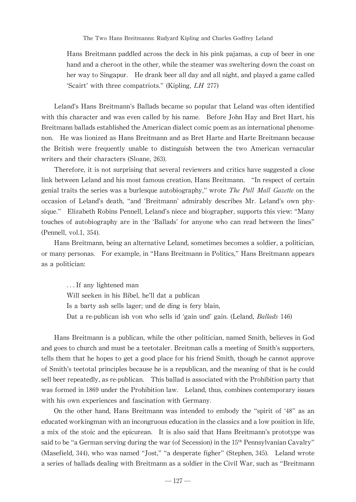The Two Hans Breitmanns: Rudyard Kipling and Charles Godfrey Leland

Hans Breitmann paddled across the deck in his pink pajamas, a cup of beer in one hand and a cheroot in the other, while the steamer was sweltering down the coast on her way to Singapur. He drank beer all day and all night, and played a game called ʻScairt'with three compatriots."(Kipling,LH 277)

Leland's Hans Breitmann's Ballads became so popular that Leland was often identified with this character and was even called by his name. Before John Hay and Bret Hart, his Breitmann ballads established the American dialect comic poem as an international phenomenon. He was lionized as Hans Breitmann and as Bret Harte and Harte Breitmann because the British were frequently unable to distinguish between the two American vernacular writers and their characters (Sloane, 263).

Therefore, it is not surprising that several reviewers and critics have suggested a close link between Leland and his most famous creation, Hans Breitmann. "In respect of certain genial traits the series was a burlesque autobiography," wrote *The Pall Mall Gazette* on the occasion of Leland's death, "and ʻBreitmann'admirably describes Mr. Leland's own physique." Elizabeth Robins Pennell, Leland's niece and biographer, supports this view: "Many touches of autobiography are in the ʻBallads'for anyone who can read between the lines" (Pennell, vol.1, 354).

Hans Breitmann, being an alternative Leland, sometimes becomes a soldier, a politician, or many personas. For example,in"Hans Breitmann in Politics,"Hans Breitmann appears as a politician:

...If any lightened man Will seeken in his Bibel, he'll dat a publican Is a barty ash sells lager; und de ding is fery blain, Dat a re-publican ish von who sells id 'gain und' gain. (Leland, *Ballads* 146)

Hans Breitmann is a publican, while the other politician, named Smith, believes in God and goes to church and must be a teetotaler. Breitman calls a meeting of Smith's supporters, tells them that he hopes to get a good place for his friend Smith, though he cannot approve of Smith's teetotal principles because he is a republican, and the meaning of that is he could sell beer repeatedly, as re-publican. This ballad is associated with the Prohibition party that was formed in 1869 under the Prohibition law. Leland, thus, combines contemporary issues with his own experiences and fascination with Germany.

On the other hand, Hans Breitmann was intended to embody the "spirit of ʻ48"as an educated workingman with an incongruous education in the classics and a low position in life, a mix of the stoic and the epicurean. It is also said that Hans Breitmann's prototype was said to be "a German serving during the war (of Secession) in the 15<sup>th</sup> Pennsylvanian Cavalry" (Masefield, 344), who was named "Jost," "a desperate figher" (Stephen, 345). Leland wrote a series of ballads dealing with Breitmann as a soldier in the Civil War, such as "Breitmann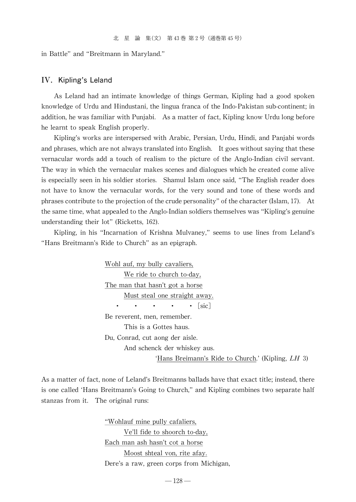in Battle" and "Breitmann in Maryland."

#### IV. Kipling's Leland

As Leland had an intimate knowledge of things German, Kipling had a good spoken knowledge of Urdu and Hindustani, the lingua franca of the Indo-Pakistan sub-continent; in addition, he was familiar with Punjabi. As a matter of fact, Kipling know Urdu long before he learnt to speak English properly.

Kipling's works are interspersed with Arabic, Persian, Urdu, Hindi, and Panjabi words and phrases,which are not always translated into English. It goes without saying that these vernacular words add a touch of realism to the picture of the Anglo-Indian civil servant. The way in which the vernacular makes scenes and dialogues which he created come alive is especially seen in his soldier stories. Shamul Islam once said, "The English reader does not have to know the vernacular words, for the very sound and tone of these words and phrases contribute to the projection of the crude personality"of the character(Islam,17). At the same time, what appealed to the Anglo-Indian soldiers themselves was "Kipling's genuine understanding their lot"(Ricketts, 162).

Kipling, in his "Incarnation of Krishna Mulvaney,"seems to use lines from Leland's "Hans Breitmann's Ride to Church" as an epigraph.

> Wohl auf, my bully cavaliers, We ride to church to-day, The man that hasn't got a horse Must steal one straight away.  $\cdot \cdot \cdot \cdot \cdot$   $\lceil \text{sic} \rceil$ Be reverent, men, remember. This is a Gottes haus. Du, Conrad, cut aong der aisle. And schenck der whiskey aus. ʻHans Breimann's Ride to Church.'(Kipling,LH 3)

As a matter of fact, none of Leland's Breitmanns ballads have that exact title; instead, there is one called ʻHans Breitmann's Going to Church,"and Kipling combines two separate half stanzas from it. The original runs:

> "Wohlauf mine pully cafaliers, Ve'll fide to shoorch to-day, Each man ash hasn't cot a horse Moost shteal von, rite afay. Dere's a raw, green corps from Michigan,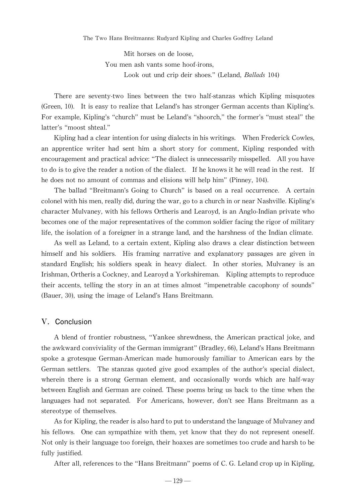The Two Hans Breitmanns: Rudyard Kipling and Charles Godfrey Leland

Mit horses on de loose, You men ash vants some hoof-irons, Look out und crip deir shoes." (Leland, Ballads 104)

There are seventy-two lines between the two half-stanzas which Kipling misquotes (Green, 10). It is easy to realize that Leland's has stronger German accents than Kipling's. For example, Kipling's "church" must be Leland's "shoorch," the former's "must steal" the latter's "moost shteal."

Kipling had a clear intention for using dialects in his writings. When Frederick Cowles, an apprentice writer had sent him a short story for comment, Kipling responded with encouragement and practical advice:"The dialect is unnecessarily misspelled. All you have to do is to give the reader a notion of the dialect. If he knows it he will read in the rest. If he does not no amount of commas and elisions will help him"(Pinney, 104).

The ballad "Breitmann's Going to Church"is based on a real occurrence. A certain colonel with his men, really did, during the war, go to a church in or near Nashville. Kipling's character Mulvaney, with his fellows Ortheris and Learoyd, is an Anglo-Indian private who becomes one of the major representatives of the common soldier facing the rigor of military life, the isolation of a foreigner in a strange land, and the harshness of the Indian climate.

As well as Leland, to a certain extent, Kipling also draws a clear distinction between himself and his soldiers. His framing narrative and explanatory passages are given in standard English; his soldiers speak in heavy dialect. In other stories, Mulvaney is an Irishman, Ortheris a Cockney, and Learoyd a Yorkshireman. Kipling attempts to reproduce their accents, telling the story in an at times almost "impenetrable cacophony of sounds" (Bauer, 30), using the image of Leland's Hans Breitmann.

#### V. Conclusion

A blend of frontier robustness,"Yankee shrewdness, the American practical joke, and the awkward conviviality of the German immigrant" (Bradley, 66), Leland's Hans Breitmann spoke a grotesque German-American made humorously familiar to American ears by the German settlers. The stanzas quoted give good examples of the author's special dialect, wherein there is a strong German element, and occasionally words which are half-way between English and German are coined. These poems bring us back to the time when the languages had not separated. For Americans, however, don't see Hans Breitmann as a stereotype of themselves.

As for Kipling, the reader is also hard to put to understand the language of Mulvaney and his fellows. One can sympathize with them, yet know that they do not represent oneself. Not only is their language too foreign, their hoaxes are sometimes too crude and harsh to be fully justified.

After all, references to the "Hans Breitmann" poems of C.G. Leland crop up in Kipling,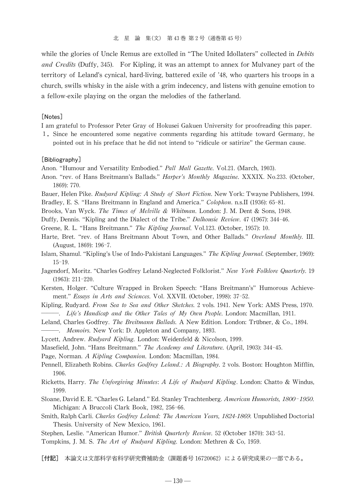while the glories of Uncle Remus are extolled in "The United Idollaters" collected in *Debits* and Credits (Duffy, 345). For Kipling, it was an attempt to annex for Mulvaney part of the territory of Leland's cynical, hard-living, battered exile of '48,who quarters his troops in a church, swills whisky in the aisle with a grim indecency, and listens with genuine emotion to a fellow-exile playing on the organ the melodies of the fatherland.

#### [Notes]

I am grateful to Professor Peter Gray of Hokusei Gakuen University for proofreading this paper.

1.Since he encountered some negative comments regarding his attitude toward Germany, he pointed out in his preface that he did not intend to "ridicule or satirize"the German cause.

#### [Bibliography]

Anon. "Humour and Versatility Embodied." Pall Mall Gazette. Vol.21. (March, 1903).

- Anon. "rev. of Hans Breitmann's Ballads." Harper's Monthly Magazine. XXXIX. No.233. (October, 1869):770.
- Bauer, Helen Pike. Rudyard Kipling: A Study of Short Fiction. New York: Twayne Publishers, 1994.
- Bradley, E. S. "Hans Breitmann in England and America." Colophon. n.s.II (1936): 65-81.
- Brooks, Van Wyck. The Times of Melville & Whitman. London: J. M. Dent & Sons, 1948.
- Duffy, Dennis. "Kipling and the Dialect of the Tribe." Dalhousie Review. 47 (1967): 344-46.
- Greene, R. L. "Hans Breitmann." The Kipling Journal. Vol.123. (October, 1957): 10.
- Harte, Bret. "rev. of Hans Breitmann About Town, and Other Ballads." Overland Monthly. III. (August, 1869):196-7.
- Islam, Shamul. "Kipling's Use of Indo-Pakistani Languages." The Kipling Journal. (September, 1969): 15-19.
- Jagendorf, Moritz. "Charles Godfrey Leland-Neglected Folklorist." New York Folklore Quarterly. 19  $(1963): 211-220.$
- Kersten, Holger. "Culture Wrapped in Broken Speech: "Hans Breitmann's" Humorous Achievement." Essays in Arts and Sciences. Vol. XXVII. (October, 1998): 37-52.
- Kipling, Rudyard. From Sea to Sea and Other Sketches. 2 vols. 1941. New York: AMS Press, 1970. -. Life's Handicap and the Other Tales of My Own People. London: Macmillan, 1911.
- Leland, Charles Godfrey. The Breitmann Ballads. A New Edition. London: Trübner, & Co., 1894. -. Memoirs. New York: D. Appleton and Company, 1893.
- Lycett, Andrew. Rudyard Kipling. London: Weidenfeld & Nicolson, 1999.
- Masefield, John. "Hans Breitmann." The Academy and Literature. (April, 1903): 344-45.
- Page, Norman. A Kipling Companion. London: Macmillan, 1984.
- Pennell, Elizabeth Robins. Charles Godfrey Leland.: A Biography. 2 vols. Boston: Houghton Mifflin, 1906.
- Ricketts, Harry. The Unforgiving Minutes: A Life of Rudyard Kipling. London: Chatto & Windus, 1999.
- Sloane, David E. E. "Charles G. Leland." Ed. Stanley Trachtenberg. American Humorists, 1800-1950. Michigan: A Bruccoli Clark Book, 1982, 256-66.
- Smith, Ralph Carli. Charles Godfrey Leland: The American Years, 1824-1869. Unpublished Doctorial Thesis.University of New Mexico, 1961.
- Stephen, Leslie. "American Humor." British Quarterly Review. 52 (October 1870): 343-51.
- Tompkins, J. M. S. The Art of Rudyard Kipling. London: Methren & Co, 1959.

[付記] 本論文は文部科学省科学研究費補助金(課題番号 16720062)による研究成果の一部である。